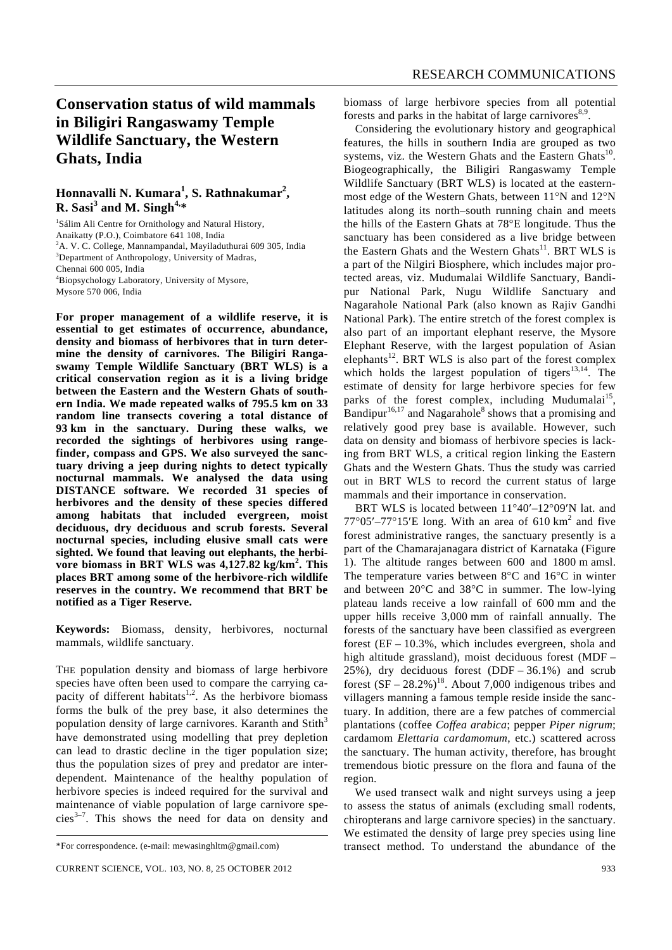# **Conservation status of wild mammals in Biligiri Rangaswamy Temple Wildlife Sanctuary, the Western Ghats, India**

## **Honnavalli N. Kumara<sup>1</sup> , S. Rathnakumar<sup>2</sup> , R. Sasi<sup>3</sup> and M. Singh4,\***

<sup>1</sup>Sálim Ali Centre for Ornithology and Natural History, Anaikatty (P.O.), Coimbatore 641 108, India <sup>2</sup>A. V. C. College, Mannampandal, Mayiladuthurai 609 305, India <sup>3</sup>Department of Anthropology, University of Madras, Chennai 600 005, India 4 Biopsychology Laboratory, University of Mysore, Mysore 570 006, India

**For proper management of a wildlife reserve, it is essential to get estimates of occurrence, abundance, density and biomass of herbivores that in turn determine the density of carnivores. The Biligiri Rangaswamy Temple Wildlife Sanctuary (BRT WLS) is a critical conservation region as it is a living bridge between the Eastern and the Western Ghats of southern India. We made repeated walks of 795.5 km on 33 random line transects covering a total distance of 93 km in the sanctuary. During these walks, we recorded the sightings of herbivores using rangefinder, compass and GPS. We also surveyed the sanctuary driving a jeep during nights to detect typically nocturnal mammals. We analysed the data using DISTANCE software. We recorded 31 species of herbivores and the density of these species differed among habitats that included evergreen, moist deciduous, dry deciduous and scrub forests. Several nocturnal species, including elusive small cats were sighted. We found that leaving out elephants, the herbivore biomass in BRT WLS was 4,127.82 kg/km<sup>2</sup> . This places BRT among some of the herbivore-rich wildlife reserves in the country. We recommend that BRT be notified as a Tiger Reserve.** 

**Keywords:** Biomass, density, herbivores, nocturnal mammals, wildlife sanctuary.

THE population density and biomass of large herbivore species have often been used to compare the carrying capacity of different habitats<sup>1,2</sup>. As the herbivore biomass forms the bulk of the prey base, it also determines the population density of large carnivores. Karanth and  $Stith<sup>3</sup>$ have demonstrated using modelling that prey depletion can lead to drastic decline in the tiger population size; thus the population sizes of prey and predator are interdependent. Maintenance of the healthy population of herbivore species is indeed required for the survival and maintenance of viable population of large carnivore spe $cies<sup>3-7</sup>$ . This shows the need for data on density and biomass of large herbivore species from all potential forests and parks in the habitat of large carnivores $8,9$ .

 Considering the evolutionary history and geographical features, the hills in southern India are grouped as two systems, viz. the Western Ghats and the Eastern Ghats $^{10}$ . Biogeographically, the Biligiri Rangaswamy Temple Wildlife Sanctuary (BRT WLS) is located at the easternmost edge of the Western Ghats, between 11°N and 12°N latitudes along its north–south running chain and meets the hills of the Eastern Ghats at 78°E longitude. Thus the sanctuary has been considered as a live bridge between the Eastern Ghats and the Western Ghats<sup>11</sup>. BRT WLS is a part of the Nilgiri Biosphere, which includes major protected areas, viz. Mudumalai Wildlife Sanctuary, Bandipur National Park, Nugu Wildlife Sanctuary and Nagarahole National Park (also known as Rajiv Gandhi National Park). The entire stretch of the forest complex is also part of an important elephant reserve, the Mysore Elephant Reserve, with the largest population of Asian elephants<sup>12</sup>. BRT WLS is also part of the forest complex which holds the largest population of tigers<sup>13,14</sup>. The estimate of density for large herbivore species for few parks of the forest complex, including Mudumalai<sup>15</sup>, Bandipur $16,17$  and Nagarahole<sup>8</sup> shows that a promising and relatively good prey base is available. However, such data on density and biomass of herbivore species is lacking from BRT WLS, a critical region linking the Eastern Ghats and the Western Ghats. Thus the study was carried out in BRT WLS to record the current status of large mammals and their importance in conservation.

 BRT WLS is located between 11°40′–12°09′N lat. and  $77^{\circ}05'$ - $77^{\circ}15'$ E long. With an area of 610 km<sup>2</sup> and five forest administrative ranges, the sanctuary presently is a part of the Chamarajanagara district of Karnataka (Figure 1). The altitude ranges between 600 and 1800 m amsl. The temperature varies between 8°C and 16°C in winter and between 20°C and 38°C in summer. The low-lying plateau lands receive a low rainfall of 600 mm and the upper hills receive 3,000 mm of rainfall annually. The forests of the sanctuary have been classified as evergreen forest (EF – 10.3%, which includes evergreen, shola and high altitude grassland), moist deciduous forest (MDF – 25%), dry deciduous forest  $(DDF - 36.1\%)$  and scrub forest  $(SF - 28.2\%)^{18}$ . About 7,000 indigenous tribes and villagers manning a famous temple reside inside the sanctuary. In addition, there are a few patches of commercial plantations (coffee *Coffea arabica*; pepper *Piper nigrum*; cardamom *Elettaria cardamomum*, etc.) scattered across the sanctuary. The human activity, therefore, has brought tremendous biotic pressure on the flora and fauna of the region.

 We used transect walk and night surveys using a jeep to assess the status of animals (excluding small rodents, chiropterans and large carnivore species) in the sanctuary. We estimated the density of large prey species using line transect method. To understand the abundance of the

<sup>\*</sup>For correspondence. (e-mail: mewasinghltm@gmail.com)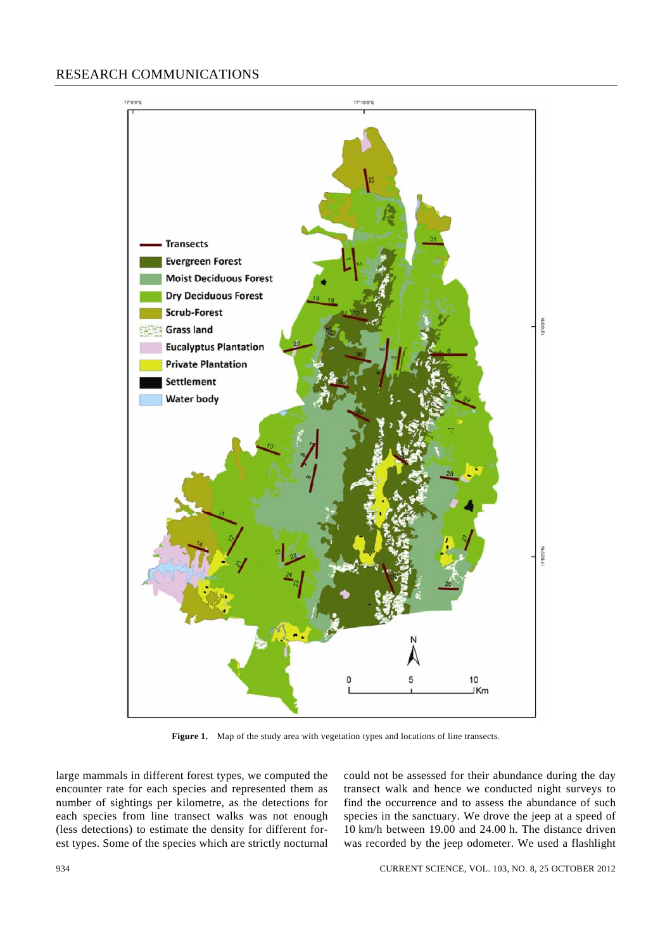

Figure 1. Map of the study area with vegetation types and locations of line transects.

large mammals in different forest types, we computed the encounter rate for each species and represented them as number of sightings per kilometre, as the detections for each species from line transect walks was not enough (less detections) to estimate the density for different forest types. Some of the species which are strictly nocturnal could not be assessed for their abundance during the day transect walk and hence we conducted night surveys to find the occurrence and to assess the abundance of such species in the sanctuary. We drove the jeep at a speed of 10 km/h between 19.00 and 24.00 h. The distance driven was recorded by the jeep odometer. We used a flashlight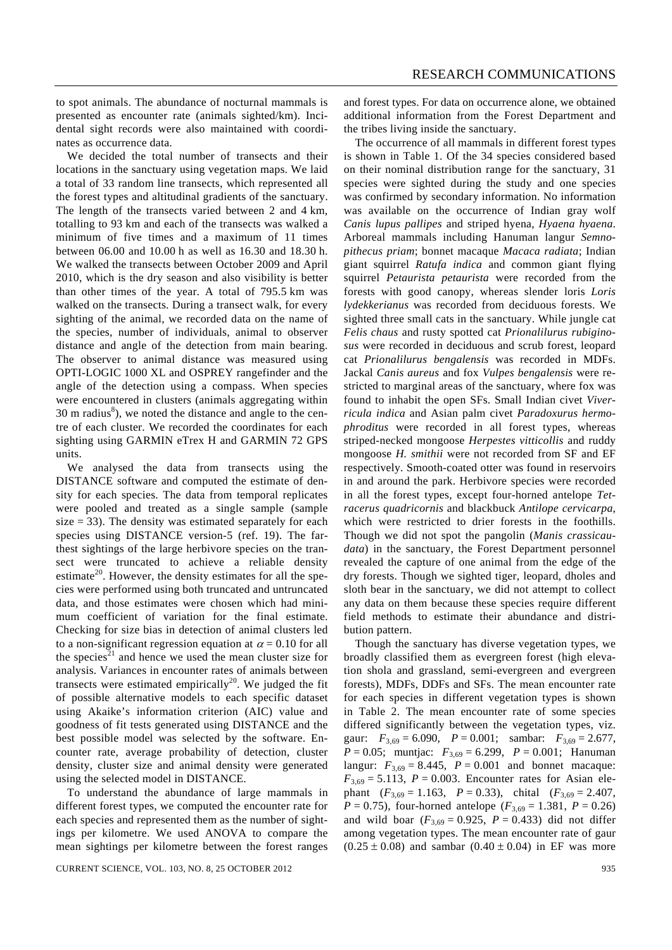to spot animals. The abundance of nocturnal mammals is presented as encounter rate (animals sighted/km). Incidental sight records were also maintained with coordinates as occurrence data.

 We decided the total number of transects and their locations in the sanctuary using vegetation maps. We laid a total of 33 random line transects, which represented all the forest types and altitudinal gradients of the sanctuary. The length of the transects varied between 2 and 4 km, totalling to 93 km and each of the transects was walked a minimum of five times and a maximum of 11 times between 06.00 and 10.00 h as well as 16.30 and 18.30 h. We walked the transects between October 2009 and April 2010, which is the dry season and also visibility is better than other times of the year. A total of 795.5 km was walked on the transects. During a transect walk, for every sighting of the animal, we recorded data on the name of the species, number of individuals, animal to observer distance and angle of the detection from main bearing. The observer to animal distance was measured using OPTI-LOGIC 1000 XL and OSPREY rangefinder and the angle of the detection using a compass. When species were encountered in clusters (animals aggregating within 30 m radius $\delta$ ), we noted the distance and angle to the centre of each cluster. We recorded the coordinates for each sighting using GARMIN eTrex H and GARMIN 72 GPS units.

 We analysed the data from transects using the DISTANCE software and computed the estimate of density for each species. The data from temporal replicates were pooled and treated as a single sample (sample size  $= 33$ ). The density was estimated separately for each species using DISTANCE version-5 (ref. 19). The farthest sightings of the large herbivore species on the transect were truncated to achieve a reliable density estimate<sup>20</sup>. However, the density estimates for all the species were performed using both truncated and untruncated data, and those estimates were chosen which had minimum coefficient of variation for the final estimate. Checking for size bias in detection of animal clusters led to a non-significant regression equation at  $\alpha = 0.10$  for all the species<sup>21</sup> and hence we used the mean cluster size for analysis. Variances in encounter rates of animals between transects were estimated empirically<sup>20</sup>. We judged the fit of possible alternative models to each specific dataset using Akaike's information criterion (AIC) value and goodness of fit tests generated using DISTANCE and the best possible model was selected by the software. Encounter rate, average probability of detection, cluster density, cluster size and animal density were generated using the selected model in DISTANCE.

 To understand the abundance of large mammals in different forest types, we computed the encounter rate for each species and represented them as the number of sightings per kilometre. We used ANOVA to compare the mean sightings per kilometre between the forest ranges and forest types. For data on occurrence alone, we obtained additional information from the Forest Department and the tribes living inside the sanctuary.

 The occurrence of all mammals in different forest types is shown in Table 1. Of the 34 species considered based on their nominal distribution range for the sanctuary, 31 species were sighted during the study and one species was confirmed by secondary information. No information was available on the occurrence of Indian gray wolf *Canis lupus pallipes* and striped hyena, *Hyaena hyaena*. Arboreal mammals including Hanuman langur *Semnopithecus priam*; bonnet macaque *Macaca radiata*; Indian giant squirrel *Ratufa indica* and common giant flying squirrel *Petaurista petaurista* were recorded from the forests with good canopy, whereas slender loris *Loris lydekkerianus* was recorded from deciduous forests. We sighted three small cats in the sanctuary. While jungle cat *Felis chaus* and rusty spotted cat *Prionalilurus rubiginosus* were recorded in deciduous and scrub forest, leopard cat *Prionalilurus bengalensis* was recorded in MDFs. Jackal *Canis aureus* and fox *Vulpes bengalensis* were restricted to marginal areas of the sanctuary, where fox was found to inhabit the open SFs. Small Indian civet *Viverricula indica* and Asian palm civet *Paradoxurus hermophroditus* were recorded in all forest types, whereas striped-necked mongoose *Herpestes vitticollis* and ruddy mongoose *H. smithii* were not recorded from SF and EF respectively. Smooth-coated otter was found in reservoirs in and around the park. Herbivore species were recorded in all the forest types, except four-horned antelope *Tetracerus quadricornis* and blackbuck *Antilope cervicarpa*, which were restricted to drier forests in the foothills. Though we did not spot the pangolin (*Manis crassicaudata*) in the sanctuary, the Forest Department personnel revealed the capture of one animal from the edge of the dry forests. Though we sighted tiger, leopard, dholes and sloth bear in the sanctuary, we did not attempt to collect any data on them because these species require different field methods to estimate their abundance and distribution pattern.

 Though the sanctuary has diverse vegetation types, we broadly classified them as evergreen forest (high elevation shola and grassland, semi-evergreen and evergreen forests), MDFs, DDFs and SFs. The mean encounter rate for each species in different vegetation types is shown in Table 2. The mean encounter rate of some species differed significantly between the vegetation types, viz. gaur:  $F_{3,69} = 6.090$ ,  $P = 0.001$ ; sambar:  $F_{3,69} = 2.677$ , *P* = 0.05; muntjac:  $F_{3,69}$  = 6.299, *P* = 0.001; Hanuman langur:  $F_{3,69} = 8.445$ ,  $P = 0.001$  and bonnet macaque:  $F_{3,69} = 5.113$ ,  $P = 0.003$ . Encounter rates for Asian elephant  $(F_{3,69} = 1.163, P = 0.33)$ , chital  $(F_{3,69} = 2.407,$ *P* = 0.75), four-horned antelope ( $F_{3,69}$  = 1.381, *P* = 0.26) and wild boar  $(F_{3,69} = 0.925, P = 0.433)$  did not differ among vegetation types. The mean encounter rate of gaur  $(0.25 \pm 0.08)$  and sambar  $(0.40 \pm 0.04)$  in EF was more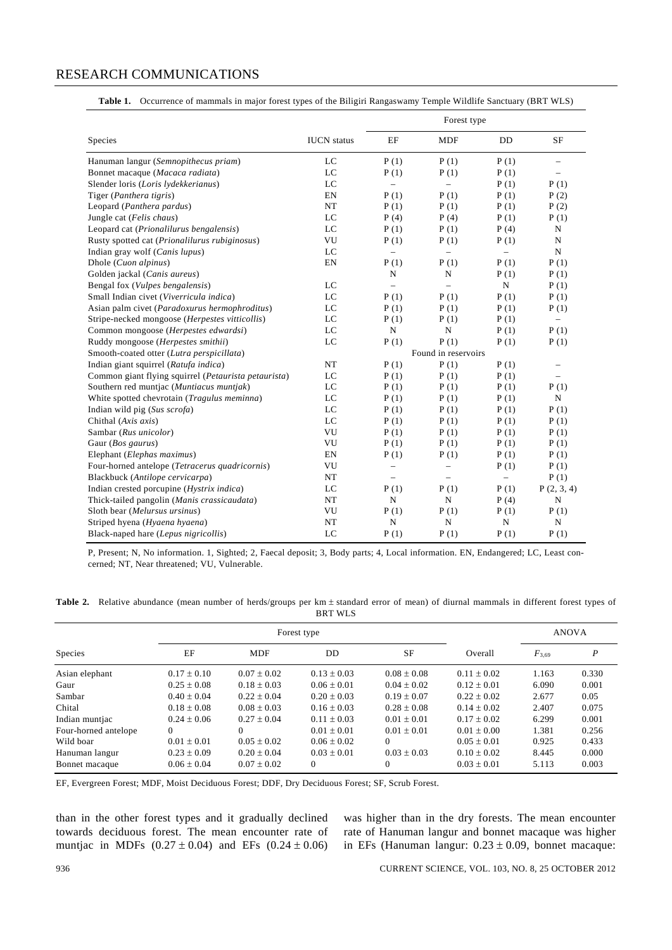|  | Table 1. Occurrence of mammals in major forest types of the Biligiri Rangaswamy Temple Wildlife Sanctuary (BRT WLS) |  |  |  |  |  |  |  |
|--|---------------------------------------------------------------------------------------------------------------------|--|--|--|--|--|--|--|
|--|---------------------------------------------------------------------------------------------------------------------|--|--|--|--|--|--|--|

|                                                      |                    |                          | Forest type              |                          |                          |
|------------------------------------------------------|--------------------|--------------------------|--------------------------|--------------------------|--------------------------|
| Species                                              | <b>IUCN</b> status | EF                       | <b>MDF</b>               | DD                       | SF                       |
| Hanuman langur (Semnopithecus priam)                 | LC                 | P(1)                     | P(1)                     | P(1)                     | $\overline{\phantom{0}}$ |
| Bonnet macaque (Macaca radiata)                      | LC                 | P(1)                     | P(1)                     | P(1)                     | $\overline{a}$           |
| Slender loris (Loris lydekkerianus)                  | LC                 | $\overline{a}$           | $\overline{a}$           | P(1)                     | P(1)                     |
| Tiger (Panthera tigris)                              | EN                 | P(1)                     | P(1)                     | P(1)                     | P(2)                     |
| Leopard (Panthera pardus)                            | NT                 | P(1)                     | P(1)                     | P(1)                     | P(2)                     |
| Jungle cat (Felis chaus)                             | LC                 | P(4)                     | P(4)                     | P(1)                     | P(1)                     |
| Leopard cat (Prionalilurus bengalensis)              | LC                 | P(1)                     | P(1)                     | P(4)                     | N                        |
| Rusty spotted cat (Prionalilurus rubiginosus)        | VU                 | P(1)                     | P(1)                     | P(1)                     | $\mathbf N$              |
| Indian gray wolf (Canis lupus)                       | LC                 | $\overline{a}$           |                          | $\overline{\phantom{0}}$ | N                        |
| Dhole (Cuon alpinus)                                 | EN                 | P(1)                     | P(1)                     | P(1)                     | P(1)                     |
| Golden jackal (Canis aureus)                         |                    | N                        | $\mathbf N$              | P(1)                     | P(1)                     |
| Bengal fox (Vulpes bengalensis)                      | LC                 | $\overline{a}$           | $\overline{\phantom{a}}$ | $\mathbf N$              | P(1)                     |
| Small Indian civet (Viverricula indica)              | LC                 | P(1)                     | P(1)                     | P(1)                     | P(1)                     |
| Asian palm civet (Paradoxurus hermophroditus)        | LC                 | P(1)                     | P(1)                     | P(1)                     | P(1)                     |
| Stripe-necked mongoose (Herpestes vitticollis)       | LC                 | P(1)                     | P(1)                     | P(1)                     | $\overline{\phantom{0}}$ |
| Common mongoose (Herpestes edwardsi)                 | LC                 | $\mathbf N$              | $\mathbf N$              | P(1)                     | P(1)                     |
| Ruddy mongoose (Herpestes smithii)                   | LC                 | P(1)                     | P(1)                     | P(1)                     | P(1)                     |
| Smooth-coated otter (Lutra perspicillata)            |                    |                          | Found in reservoirs      |                          |                          |
| Indian giant squirrel (Ratufa indica)                | NT                 | P(1)                     | P(1)                     | P(1)                     | $\overline{\phantom{0}}$ |
| Common giant flying squirrel (Petaurista petaurista) | LC                 | P(1)                     | P(1)                     | P(1)                     | $\overline{\phantom{0}}$ |
| Southern red muntjac (Muntiacus muntjak)             | LC                 | P(1)                     | P(1)                     | P(1)                     | P(1)                     |
| White spotted chevrotain (Tragulus meminna)          | LC                 | P(1)                     | P(1)                     | P(1)                     | N                        |
| Indian wild pig (Sus scrofa)                         | LC                 | P(1)                     | P(1)                     | P(1)                     | P(1)                     |
| Chithal (Axis axis)                                  | LC                 | P(1)                     | P(1)                     | P(1)                     | P(1)                     |
| Sambar (Rus unicolor)                                | VU                 | P(1)                     | P(1)                     | P(1)                     | P(1)                     |
| Gaur (Bos gaurus)                                    | VU                 | P(1)                     | P(1)                     | P(1)                     | P(1)                     |
| Elephant (Elephas maximus)                           | EN                 | P(1)                     | P(1)                     | P(1)                     | P(1)                     |
| Four-horned antelope (Tetracerus quadricornis)       | VU                 | $\overline{\phantom{0}}$ | $\overline{a}$           | P(1)                     | P(1)                     |
| Blackbuck (Antilope cervicarpa)                      | $_{\rm NT}$        | $\overline{\phantom{0}}$ | $\overline{a}$           | $\overline{\phantom{0}}$ | P(1)                     |
| Indian crested porcupine (Hystrix indica)            | LC                 | P(1)                     | P(1)                     | P(1)                     | P(2, 3, 4)               |
| Thick-tailed pangolin (Manis crassicaudata)          | NT                 | N                        | N                        | P(4)                     | $\mathbf N$              |
| Sloth bear (Melursus ursinus)                        | VU                 | P(1)                     | P(1)                     | P(1)                     | P(1)                     |
| Striped hyena (Hyaena hyaena)                        | NT                 | $\mathbf N$              | ${\bf N}$                | $\mathbf N$              | N                        |
| Black-naped hare (Lepus nigricollis)                 | LC                 | P(1)                     | P(1)                     | P(1)                     | P(1)                     |

P, Present; N, No information. 1, Sighted; 2, Faecal deposit; 3, Body parts; 4, Local information. EN, Endangered; LC, Least concerned; NT, Near threatened; VU, Vulnerable.

| Table 2. Relative abundance (mean number of herds/groups per km ± standard error of mean) of diurnal mammals in different forest types of |  |  |                |  |  |  |  |
|-------------------------------------------------------------------------------------------------------------------------------------------|--|--|----------------|--|--|--|--|
|                                                                                                                                           |  |  | <b>BRT WLS</b> |  |  |  |  |

|                      |                 | Forest type     |                 |                 | <b>ANOVA</b>    |            |                  |
|----------------------|-----------------|-----------------|-----------------|-----------------|-----------------|------------|------------------|
| <b>Species</b>       | ΕF              | <b>MDF</b>      | DD              | <b>SF</b>       | Overall         | $F_{3,69}$ | $\boldsymbol{P}$ |
| Asian elephant       | $0.17 \pm 0.10$ | $0.07 \pm 0.02$ | $0.13 + 0.03$   | $0.08 + 0.08$   | $0.11 \pm 0.02$ | 1.163      | 0.330            |
| Gaur                 | $0.25 \pm 0.08$ | $0.18 \pm 0.03$ | $0.06 \pm 0.01$ | $0.04 \pm 0.02$ | $0.12 \pm 0.01$ | 6.090      | 0.001            |
| Sambar               | $0.40 \pm 0.04$ | $0.22 + 0.04$   | $0.20 + 0.03$   | $0.19 + 0.07$   | $0.22 + 0.02$   | 2.677      | 0.05             |
| Chital               | $0.18 + 0.08$   | $0.08 \pm 0.03$ | $0.16 \pm 0.03$ | $0.28 \pm 0.08$ | $0.14 + 0.02$   | 2.407      | 0.075            |
| Indian muntjac       | $0.24 + 0.06$   | $0.27 + 0.04$   | $0.11 + 0.03$   | $0.01 + 0.01$   | $0.17 + 0.02$   | 6.299      | 0.001            |
| Four-horned antelope | $\Omega$        | $\Omega$        | $0.01 + 0.01$   | $0.01 + 0.01$   | $0.01 + 0.00$   | 1.381      | 0.256            |
| Wild boar            | $0.01 + 0.01$   | $0.05 + 0.02$   | $0.06 \pm 0.02$ | $\Omega$        | $0.05 + 0.01$   | 0.925      | 0.433            |
| Hanuman langur       | $0.23 \pm 0.09$ | $0.20 \pm 0.04$ | $0.03 \pm 0.01$ | $0.03 + 0.03$   | $0.10 + 0.02$   | 8.445      | 0.000            |
| Bonnet macaque       | $0.06 \pm 0.04$ | $0.07 + 0.02$   | $\mathbf{0}$    | $\overline{0}$  | $0.03 + 0.01$   | 5.113      | 0.003            |

EF, Evergreen Forest; MDF, Moist Deciduous Forest; DDF, Dry Deciduous Forest; SF, Scrub Forest.

than in the other forest types and it gradually declined towards deciduous forest. The mean encounter rate of muntjac in MDFs  $(0.27 \pm 0.04)$  and EFs  $(0.24 \pm 0.06)$  was higher than in the dry forests. The mean encounter rate of Hanuman langur and bonnet macaque was higher in EFs (Hanuman langur:  $0.23 \pm 0.09$ , bonnet macaque: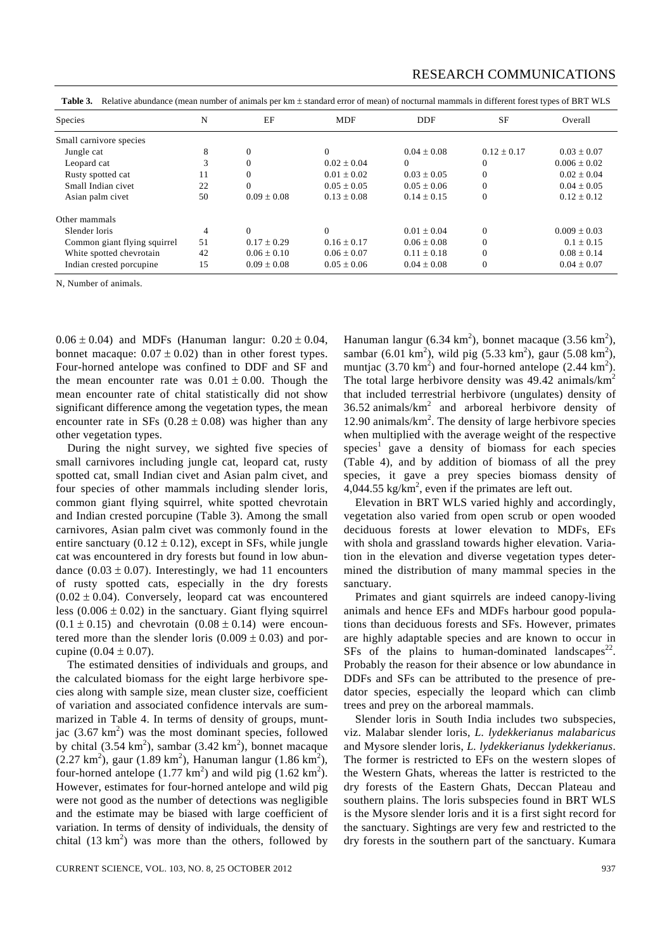| <b>Species</b>               | N              | EF              | <b>MDF</b>      | <b>DDF</b>      | <b>SF</b>       | Overall          |
|------------------------------|----------------|-----------------|-----------------|-----------------|-----------------|------------------|
| Small carnivore species      |                |                 |                 |                 |                 |                  |
| Jungle cat                   | 8              | $\Omega$        | 0               | $0.04 + 0.08$   | $0.12 \pm 0.17$ | $0.03 + 0.07$    |
| Leopard cat                  | 3              | $\Omega$        | $0.02 \pm 0.04$ | $\Omega$        | $\theta$        | $0.006 \pm 0.02$ |
| Rusty spotted cat            | 11             | $\Omega$        | $0.01 \pm 0.02$ | $0.03 + 0.05$   | 0               | $0.02 + 0.04$    |
| Small Indian civet           | 22             | $\Omega$        | $0.05 + 0.05$   | $0.05 + 0.06$   | $\theta$        | $0.04 \pm 0.05$  |
| Asian palm civet             | 50             | $0.09 \pm 0.08$ | $0.13 + 0.08$   | $0.14 \pm 0.15$ | $\theta$        | $0.12 \pm 0.12$  |
| Other mammals                |                |                 |                 |                 |                 |                  |
| Slender loris                | $\overline{4}$ | $\Omega$        | 0               | $0.01 + 0.04$   | $\Omega$        | $0.009 \pm 0.03$ |
| Common giant flying squirrel | 51             | $0.17 + 0.29$   | $0.16 \pm 0.17$ | $0.06 \pm 0.08$ | $\theta$        | $0.1 + 0.15$     |
| White spotted chevrotain     | 42             | $0.06 \pm 0.10$ | $0.06 \pm 0.07$ | $0.11 \pm 0.18$ | $\theta$        | $0.08 \pm 0.14$  |
| Indian crested porcupine.    | 15             | $0.09 \pm 0.08$ | $0.05 \pm 0.06$ | $0.04 \pm 0.08$ | $\theta$        | $0.04 \pm 0.07$  |

Table 3. Relative abundance (mean number of animals per km  $\pm$  standard error of mean) of nocturnal mammals in different forest types of BRT WLS

N, Number of animals.

 $0.06 \pm 0.04$ ) and MDFs (Hanuman langur:  $0.20 \pm 0.04$ , bonnet macaque:  $0.07 \pm 0.02$ ) than in other forest types. Four-horned antelope was confined to DDF and SF and the mean encounter rate was  $0.01 \pm 0.00$ . Though the mean encounter rate of chital statistically did not show significant difference among the vegetation types, the mean encounter rate in SFs  $(0.28 \pm 0.08)$  was higher than any other vegetation types.

 During the night survey, we sighted five species of small carnivores including jungle cat, leopard cat, rusty spotted cat, small Indian civet and Asian palm civet, and four species of other mammals including slender loris, common giant flying squirrel, white spotted chevrotain and Indian crested porcupine (Table 3). Among the small carnivores, Asian palm civet was commonly found in the entire sanctuary  $(0.12 \pm 0.12)$ , except in SFs, while jungle cat was encountered in dry forests but found in low abundance  $(0.03 \pm 0.07)$ . Interestingly, we had 11 encounters of rusty spotted cats, especially in the dry forests  $(0.02 \pm 0.04)$ . Conversely, leopard cat was encountered less  $(0.006 \pm 0.02)$  in the sanctuary. Giant flying squirrel  $(0.1 \pm 0.15)$  and chevrotain  $(0.08 \pm 0.14)$  were encountered more than the slender loris  $(0.009 \pm 0.03)$  and porcupine  $(0.04 \pm 0.07)$ .

 The estimated densities of individuals and groups, and the calculated biomass for the eight large herbivore species along with sample size, mean cluster size, coefficient of variation and associated confidence intervals are summarized in Table 4. In terms of density of groups, muntjac  $(3.67 \text{ km}^2)$  was the most dominant species, followed by chital  $(3.54 \text{ km}^2)$ , sambar  $(3.42 \text{ km}^2)$ , bonnet macaque  $(2.27 \text{ km}^2)$ , gaur  $(1.89 \text{ km}^2)$ , Hanuman langur  $(1.86 \text{ km}^2)$ , four-horned antelope  $(1.77 \text{ km}^2)$  and wild pig  $(1.62 \text{ km}^2)$ . However, estimates for four-horned antelope and wild pig were not good as the number of detections was negligible and the estimate may be biased with large coefficient of variation. In terms of density of individuals, the density of chital  $(13 \text{ km}^2)$  was more than the others, followed by

Hanuman langur (6.34 km<sup>2</sup>), bonnet macaque (3.56 km<sup>2</sup>), sambar (6.01 km<sup>2</sup>), wild pig (5.33 km<sup>2</sup>), gaur (5.08 km<sup>2</sup>), muntjac  $(3.70 \text{ km}^2)$  and four-horned antelope  $(2.44 \text{ km}^2)$ . The total large herbivore density was  $49.42$  animals/km<sup>2</sup> that included terrestrial herbivore (ungulates) density of  $36.52$  animals/km<sup>2</sup> and arboreal herbivore density of 12.90 animals/km<sup>2</sup>. The density of large herbivore species when multiplied with the average weight of the respective species<sup>1</sup> gave a density of biomass for each species (Table 4), and by addition of biomass of all the prey species, it gave a prey species biomass density of  $4,044.55$  kg/km<sup>2</sup>, even if the primates are left out.

 Elevation in BRT WLS varied highly and accordingly, vegetation also varied from open scrub or open wooded deciduous forests at lower elevation to MDFs, EFs with shola and grassland towards higher elevation. Variation in the elevation and diverse vegetation types determined the distribution of many mammal species in the sanctuary.

 Primates and giant squirrels are indeed canopy-living animals and hence EFs and MDFs harbour good populations than deciduous forests and SFs. However, primates are highly adaptable species and are known to occur in SFs of the plains to human-dominated landscapes<sup>22</sup>. Probably the reason for their absence or low abundance in DDFs and SFs can be attributed to the presence of predator species, especially the leopard which can climb trees and prey on the arboreal mammals.

 Slender loris in South India includes two subspecies, viz. Malabar slender loris, *L. lydekkerianus malabaricus* and Mysore slender loris, *L. lydekkerianus lydekkerianus*. The former is restricted to EFs on the western slopes of the Western Ghats, whereas the latter is restricted to the dry forests of the Eastern Ghats, Deccan Plateau and southern plains. The loris subspecies found in BRT WLS is the Mysore slender loris and it is a first sight record for the sanctuary. Sightings are very few and restricted to the dry forests in the southern part of the sanctuary. Kumara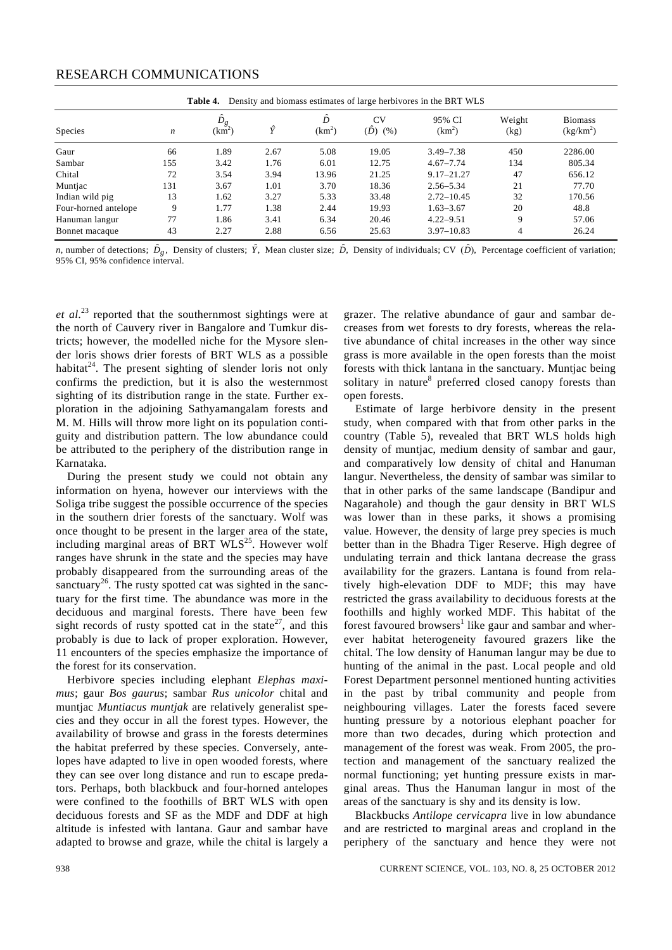|                      |                  | Table 4.    |      |                         |                          | Density and biomass estimates of large herbivores in the BRT WLS |                |                               |
|----------------------|------------------|-------------|------|-------------------------|--------------------------|------------------------------------------------------------------|----------------|-------------------------------|
| <b>Species</b>       | $\boldsymbol{n}$ | Ď,<br>(km²) | ΰ    | ĥ<br>(km <sup>2</sup> ) | <b>CV</b><br>(D)<br>(% ) | 95% CI<br>$(km^2)$                                               | Weight<br>(kg) | <b>Biomass</b><br>$(kg/km^2)$ |
| Gaur                 | 66               | 1.89        | 2.67 | 5.08                    | 19.05                    | $3.49 - 7.38$                                                    | 450            | 2286.00                       |
| Sambar               | 155              | 3.42        | 1.76 | 6.01                    | 12.75                    | $4.67 - 7.74$                                                    | 134            | 805.34                        |
| Chital               | 72               | 3.54        | 3.94 | 13.96                   | 21.25                    | $9.17 - 21.27$                                                   | 47             | 656.12                        |
| Muntjac              | 131              | 3.67        | 1.01 | 3.70                    | 18.36                    | $2.56 - 5.34$                                                    | 21             | 77.70                         |
| Indian wild pig      | 13               | 1.62        | 3.27 | 5.33                    | 33.48                    | $2.72 - 10.45$                                                   | 32             | 170.56                        |
| Four-horned antelope | 9                | 1.77        | 1.38 | 2.44                    | 19.93                    | $1.63 - 3.67$                                                    | 20             | 48.8                          |
| Hanuman langur       | 77               | 1.86        | 3.41 | 6.34                    | 20.46                    | $4.22 - 9.51$                                                    | 9              | 57.06                         |
| Bonnet macaque       | 43               | 2.27        | 2.88 | 6.56                    | 25.63                    | $3.97 - 10.83$                                                   | $\overline{4}$ | 26.24                         |

*n*, number of detections;  $\hat{D}_{\rho}$ , Density of clusters;  $\hat{Y}$ , Mean cluster size;  $\hat{D}$ , Density of individuals; CV  $(\hat{D})$ , Percentage coefficient of variation; 95% CI, 95% confidence interval.

*et al*. 23 reported that the southernmost sightings were at the north of Cauvery river in Bangalore and Tumkur districts; however, the modelled niche for the Mysore slender loris shows drier forests of BRT WLS as a possible habitat $24$ . The present sighting of slender loris not only confirms the prediction, but it is also the westernmost sighting of its distribution range in the state. Further exploration in the adjoining Sathyamangalam forests and M. M. Hills will throw more light on its population contiguity and distribution pattern. The low abundance could be attributed to the periphery of the distribution range in Karnataka.

 During the present study we could not obtain any information on hyena, however our interviews with the Soliga tribe suggest the possible occurrence of the species in the southern drier forests of the sanctuary. Wolf was once thought to be present in the larger area of the state, including marginal areas of BRT  $WLS^{25}$ . However wolf ranges have shrunk in the state and the species may have probably disappeared from the surrounding areas of the sanctuary<sup>26</sup>. The rusty spotted cat was sighted in the sanctuary for the first time. The abundance was more in the deciduous and marginal forests. There have been few sight records of rusty spotted cat in the state<sup>27</sup>, and this probably is due to lack of proper exploration. However, 11 encounters of the species emphasize the importance of the forest for its conservation.

 Herbivore species including elephant *Elephas maximus*; gaur *Bos gaurus*; sambar *Rus unicolor* chital and muntjac *Muntiacus muntjak* are relatively generalist species and they occur in all the forest types. However, the availability of browse and grass in the forests determines the habitat preferred by these species. Conversely, antelopes have adapted to live in open wooded forests, where they can see over long distance and run to escape predators. Perhaps, both blackbuck and four-horned antelopes were confined to the foothills of BRT WLS with open deciduous forests and SF as the MDF and DDF at high altitude is infested with lantana. Gaur and sambar have adapted to browse and graze, while the chital is largely a grazer. The relative abundance of gaur and sambar decreases from wet forests to dry forests, whereas the relative abundance of chital increases in the other way since grass is more available in the open forests than the moist forests with thick lantana in the sanctuary. Muntjac being solitary in nature<sup>8</sup> preferred closed canopy forests than open forests.

 Estimate of large herbivore density in the present study, when compared with that from other parks in the country (Table 5), revealed that BRT WLS holds high density of muntjac, medium density of sambar and gaur, and comparatively low density of chital and Hanuman langur. Nevertheless, the density of sambar was similar to that in other parks of the same landscape (Bandipur and Nagarahole) and though the gaur density in BRT WLS was lower than in these parks, it shows a promising value. However, the density of large prey species is much better than in the Bhadra Tiger Reserve. High degree of undulating terrain and thick lantana decrease the grass availability for the grazers. Lantana is found from relatively high-elevation DDF to MDF; this may have restricted the grass availability to deciduous forests at the foothills and highly worked MDF. This habitat of the forest favoured browsers<sup>1</sup> like gaur and sambar and wherever habitat heterogeneity favoured grazers like the chital. The low density of Hanuman langur may be due to hunting of the animal in the past. Local people and old Forest Department personnel mentioned hunting activities in the past by tribal community and people from neighbouring villages. Later the forests faced severe hunting pressure by a notorious elephant poacher for more than two decades, during which protection and management of the forest was weak. From 2005, the protection and management of the sanctuary realized the normal functioning; yet hunting pressure exists in marginal areas. Thus the Hanuman langur in most of the areas of the sanctuary is shy and its density is low.

 Blackbucks *Antilope cervicapra* live in low abundance and are restricted to marginal areas and cropland in the periphery of the sanctuary and hence they were not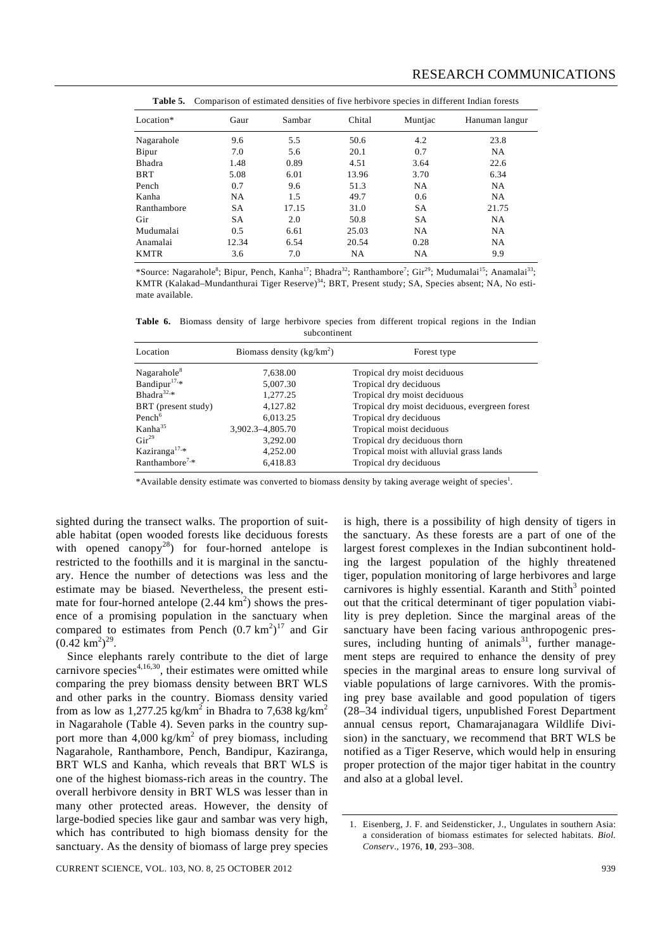Location\* Gaur Sambar Chital Muntjac Hanuman langur Nagarahole 9.6 5.5 50.6 4.2 23.8 Bipur 7.0 5.6 20.1 0.7 NA Bhadra 1.48 0.89 4.51 3.64 22.6 BRT 5.08 6.01 13.96 3.70 6.34 Pench 0.7 9.6 51.3 NA NA Kanha NA 1.5 49.7 0.6 NA Ranthambore SA 17.15 31.0 SA 21.75 Gir SA 2.0 50.8 SA NA Mudumalai 0.5 6.61 25.03 NA NA Anamalai 12.34 6.54 20.54 0.28 NA KMTR 3.6 7.0 NA NA 9.9

**Table 5.** Comparison of estimated densities of five herbivore species in different Indian forests

\*Source: Nagarahole<sup>8</sup>; Bipur, Pench, Kanha<sup>17</sup>; Bhadra<sup>32</sup>; Ranthambore<sup>7</sup>; Gir<sup>29</sup>; Mudumalai<sup>15</sup>; Anamalai<sup>33</sup>; KMTR (Kalakad–Mundanthurai Tiger Reserve)<sup>34</sup>; BRT, Present study; SA, Species absent; NA, No estimate available.

**Table 6.** Biomass density of large herbivore species from different tropical regions in the Indian subcontinent

| Location                   | Biomass density $(kg/km^2)$ | Forest type                                    |
|----------------------------|-----------------------------|------------------------------------------------|
| Nagarahole <sup>8</sup>    | 7,638.00                    | Tropical dry moist deciduous                   |
| Bandipur $17.*$            | 5,007.30                    | Tropical dry deciduous                         |
| Bhadra <sup>32,*</sup>     | 1,277.25                    | Tropical dry moist deciduous                   |
| BRT (present study)        | 4,127.82                    | Tropical dry moist deciduous, evergreen forest |
| Pench <sup>6</sup>         | 6,013.25                    | Tropical dry deciduous                         |
| Kanha <sup>35</sup>        | 3.902.3-4.805.70            | Tropical moist deciduous                       |
| $Gir^{29}$                 | 3,292.00                    | Tropical dry deciduous thorn                   |
| Kaziranga <sup>17,*</sup>  | 4,252.00                    | Tropical moist with alluvial grass lands       |
| Ranthambore <sup>7,*</sup> | 6,418.83                    | Tropical dry deciduous                         |

\*Available density estimate was converted to biomass density by taking average weight of species<sup>1</sup>.

sighted during the transect walks. The proportion of suitable habitat (open wooded forests like deciduous forests with opened canopy<sup>28</sup>) for four-horned antelope is restricted to the foothills and it is marginal in the sanctuary. Hence the number of detections was less and the estimate may be biased. Nevertheless, the present estimate for four-horned antelope  $(2.44 \text{ km}^2)$  shows the presence of a promising population in the sanctuary when compared to estimates from Pench  $(0.7 \text{ km}^2)^{17}$  and Gir  $(0.42 \text{ km}^2)^{29}$ .

 Since elephants rarely contribute to the diet of large carnivore species $4,16,30$ , their estimates were omitted while comparing the prey biomass density between BRT WLS and other parks in the country. Biomass density varied from as low as 1,277.25 kg/km<sup>2</sup> in Bhadra to 7,638 kg/km<sup>2</sup> in Nagarahole (Table 4). Seven parks in the country support more than  $4,000 \text{ kg/km}^2$  of prey biomass, including Nagarahole, Ranthambore, Pench, Bandipur, Kaziranga, BRT WLS and Kanha, which reveals that BRT WLS is one of the highest biomass-rich areas in the country. The overall herbivore density in BRT WLS was lesser than in many other protected areas. However, the density of large-bodied species like gaur and sambar was very high, which has contributed to high biomass density for the sanctuary. As the density of biomass of large prey species

is high, there is a possibility of high density of tigers in the sanctuary. As these forests are a part of one of the largest forest complexes in the Indian subcontinent holding the largest population of the highly threatened tiger, population monitoring of large herbivores and large carnivores is highly essential. Karanth and Stith<sup>3</sup> pointed out that the critical determinant of tiger population viability is prey depletion. Since the marginal areas of the sanctuary have been facing various anthropogenic pressures, including hunting of animals<sup>31</sup>, further management steps are required to enhance the density of prey species in the marginal areas to ensure long survival of viable populations of large carnivores. With the promising prey base available and good population of tigers (28–34 individual tigers, unpublished Forest Department annual census report, Chamarajanagara Wildlife Division) in the sanctuary, we recommend that BRT WLS be notified as a Tiger Reserve, which would help in ensuring proper protection of the major tiger habitat in the country and also at a global level.

<sup>1.</sup> Eisenberg, J. F. and Seidensticker, J., Ungulates in southern Asia: a consideration of biomass estimates for selected habitats. *Biol. Conserv*., 1976, **10**, 293–308.